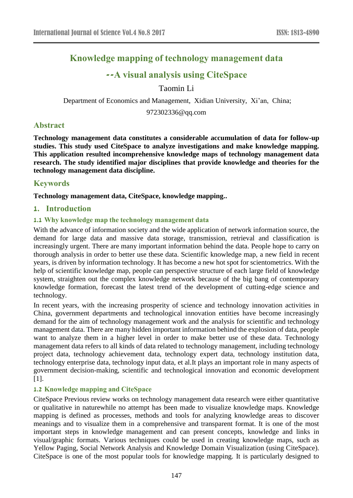# **Knowledge mapping of technology management data**

# **--A visual analysis using CiteSpace**

Taomin Li

Department of Economics and Management, Xidian University, Xi'an, China;

972302336@qq.com

## **Abstract**

**Technology management data constitutes a considerable accumulation of data for follow-up studies. This study used CiteSpace to analyze investigations and make knowledge mapping. This application resulted incomprehensive knowledge maps of technology management data research. The study identified major disciplines that provide knowledge and theories for the technology management data discipline.**

## **Keywords**

**Technology management data, CiteSpace, knowledge mapping..** 

## **1. Introduction**

## **1.1 Why knowledge map the technology management data**

With the advance of information society and the wide application of network information source, the demand for large data and massive data storage, transmission, retrieval and classification is increasingly urgent. There are many important information behind the data. People hope to carry on thorough analysis in order to better use these data. Scientific knowledge map, a new field in recent years, is driven by information technology. It has become a new hot spot for scientometrics. With the help of scientific knowledge map, people can perspective structure of each large field of knowledge system, straighten out the complex knowledge network because of the big bang of contemporary knowledge formation, forecast the latest trend of the development of cutting-edge science and technology.

In recent years, with the increasing prosperity of science and technology innovation activities in China, government departments and technological innovation entities have become increasingly demand for the aim of technology management work and the analysis for scientific and technology management data. There are many hidden important information behind the explosion of data, people want to analyze them in a higher level in order to make better use of these data. Technology management data refers to all kinds of data related to technology management, including technology project data, technology achievement data, technology expert data, technology institution data, technology enterprise data, technology input data, et al.It plays an important role in many aspects of government decision-making, scientific and technological innovation and economic development [1].

## **1.2 Knowledge mapping and CiteSpace**

CiteSpace Previous review works on technology management data research were either quantitative or qualitative in naturewhile no attempt has been made to visualize knowledge maps. Knowledge mapping is defined as processes, methods and tools for analyzing knowledge areas to discover meanings and to visualize them in a comprehensive and transparent format. It is one of the most important steps in knowledge management and can present concepts, knowledge and links in visual/graphic formats. Various techniques could be used in creating knowledge maps, such as Yellow Paging, Social Network Analysis and Knowledge Domain Visualization (using CiteSpace). CiteSpace is one of the most popular tools for knowledge mapping. It is particularly designed to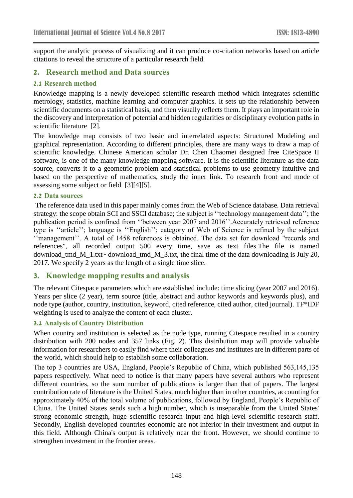support the analytic process of visualizing and it can produce co-citation networks based on article citations to reveal the structure of a particular research field.

## **2. Research method and Data sources**

### **2.1 Research method**

Knowledge mapping is a newly developed scientific research method which integrates scientific metrology, statistics, machine learning and computer graphics. It sets up the relationship between scientific documents on a statistical basis, and then visually reflects them. It plays an important role in the discovery and interpretation of potential and hidden regularities or disciplinary evolution paths in scientific literature [2].

The knowledge map consists of two basic and interrelated aspects: Structured Modeling and graphical representation. According to different principles, there are many ways to draw a map of scientific knowledge. Chinese American scholar Dr. Chen Chaomei designed free CiteSpace II software, is one of the many knowledge mapping software. It is the scientific literature as the data source, converts it to a geometric problem and statistical problems to use geometry intuitive and based on the perspective of mathematics, study the inner link. To research front and mode of assessing some subject or field [3][4][5].

#### **2.2 Data sources**

The reference data used in this paper mainly comes from the Web of Science database. Data retrieval strategy: the scope obtain SCI and SSCI database; the subject is ''technology management data''; the publication period is confined from ''between year 2007 and 2016''.Accurately retrieved reference type is ''article''; language is ''English''; category of Web of Science is refined by the subject ''management''. A total of 1458 references is obtained. The data set for download "records and references", all recorded output 500 every time, save as text files.The file is named download\_tmd\_M\_1.txt~ download\_tmd\_M\_3.txt, the final time of the data downloading is July 20, 2017. We specify 2 years as the length of a single time slice.

## **3. Knowledge mapping results and analysis**

The relevant Citespace parameters which are established include: time slicing (year 2007 and 2016). Years per slice (2 year), term source (title, abstract and author keywords and keywords plus), and node type (author, country, institution, keyword, cited reference, cited author, cited journal). TF\*IDF weighting is used to analyze the content of each cluster.

### **3.1 Analysis of Country Distribution**

When country and institution is selected as the node type, running Citespace resulted in a country distribution with 200 nodes and 357 links (Fig. 2). This distribution map will provide valuable information for researchers to easily find where their colleagues and institutes are in different parts of the world, which should help to establish some collaboration.

The top 3 countries are USA, England, People's Republic of China, which published 563,145,135 papers respectively. What need to notice is that many papers have several authors who represent different countries, so the sum number of publications is larger than that of papers. The largest contribution rate of literature is the United States, much higher than in other countries, accounting for approximately 40% of the total volume of publications, followed by England, People's Republic of China. The United States sends such a high number, which is inseparable from the United States' strong economic strength, huge scientific research input and high-level scientific research staff. Secondly, English developed countries economic are not inferior in their investment and output in this field. Although China's output is relatively near the front. However, we should continue to strengthen investment in the frontier areas.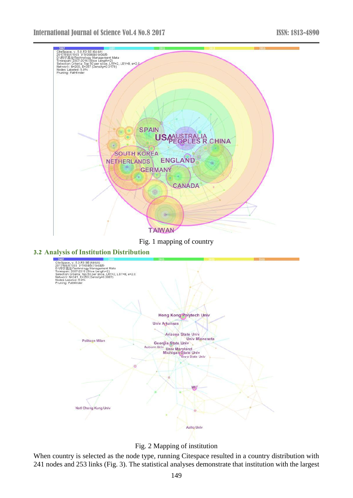

Fig. 1 mapping of country



Fig. 2 Mapping of institution

When country is selected as the node type, running Citespace resulted in a country distribution with 241 nodes and 253 links (Fig. 3). The statistical analyses demonstrate that institution with the largest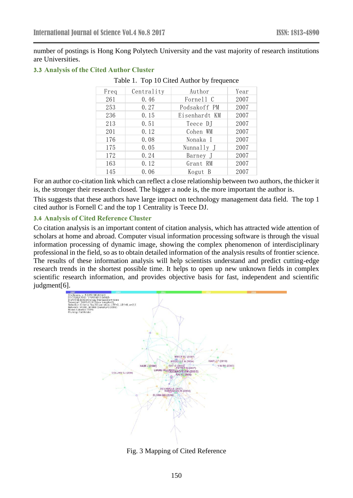number of postings is Hong Kong Polytech University and the vast majority of research institutions are Universities.

#### **3.3 Analysis of the Cited Author Cluster**

| Freq | Centrality | Author        | Year |
|------|------------|---------------|------|
| 261  | 0.46       | Fornell C     | 2007 |
| 253  | 0.27       | Podsakoff PM  | 2007 |
| 236  | 0.15       | Eisenhardt KM | 2007 |
| 213  | 0.51       | Teece DJ      | 2007 |
| 201  | 0.12       | Cohen WM      | 2007 |
| 176  | 0.08       | Nonaka I      | 2007 |
| 175  | 0.05       | Nunnally J    | 2007 |
| 172  | 0.24       | Barney J      | 2007 |
| 163  | 0.12       | Grant RM      | 2007 |
| 145  | 0.06       | Kogut B       | 2007 |

#### Table 1. Top 10 Cited Author by frequence

For an author co-citation link which can reflect a close relationship between two authors, the thicker it is, the stronger their research closed. The bigger a node is, the more important the author is.

This suggests that these authors have large impact on technology management data field. The top 1 cited author is Fornell C and the top 1 Centrality is Teece DJ.

### **3.4 Analysis of Cited Reference Cluster**

Co citation analysis is an important content of citation analysis, which has attracted wide attention of scholars at home and abroad. Computer visual information processing software is through the visual information processing of dynamic image, showing the complex phenomenon of interdisciplinary professional in the field, so as to obtain detailed information of the analysis results of frontier science. The results of these information analysis will help scientists understand and predict cutting-edge research trends in the shortest possible time. It helps to open up new unknown fields in complex scientific research information, and provides objective basis for fast, independent and scientific judgment[6].



Fig. 3 Mapping of Cited Reference